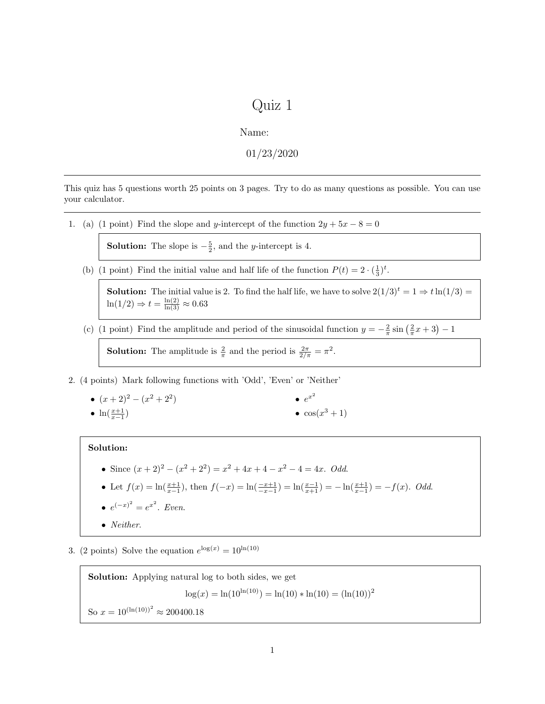## Quiz 1

Name:

01/23/2020

This quiz has 5 questions worth 25 points on 3 pages. Try to do as many questions as possible. You can use your calculator.

1. (a) (1 point) Find the slope and y-intercept of the function  $2y + 5x - 8 = 0$ 

**Solution:** The slope is  $-\frac{5}{2}$ , and the *y*-intercept is 4.

(b) (1 point) Find the initial value and half life of the function  $P(t) = 2 \cdot (\frac{1}{3})^t$ .

**Solution:** The initial value is 2. To find the half life, we have to solve  $2(1/3)^t = 1 \Rightarrow t \ln(1/3) =$  $\ln(1/2) \Rightarrow t = \frac{\ln(2)}{\ln(3)} \approx 0.63$ 

(c) (1 point) Find the amplitude and period of the sinusoidal function  $y = -\frac{2}{\pi} \sin(\frac{2}{\pi}x + 3) - 1$ 

**Solution:** The amplitude is  $\frac{2}{\pi}$  and the period is  $\frac{2\pi}{2/\pi} = \pi^2$ .

- 2. (4 points) Mark following functions with 'Odd', 'Even' or 'Neither'
	- $(x+2)^2 (x^2+2^2)$ •  $\ln(\frac{x+1}{x-1})$  $e^{x^2}$  $\bullet$  cos( $x^3+1$ )

## Solution:

- Since  $(x+2)^2 (x^2+2^2) = x^2 + 4x + 4 x^2 4 = 4x$ . *Odd.*
- Let  $f(x) = \ln(\frac{x+1}{x-1})$ , then  $f(-x) = \ln(\frac{-x+1}{-x-1}) = \ln(\frac{x-1}{x+1}) = -\ln(\frac{x+1}{x-1}) = -f(x)$ . Odd.

$$
\bullet \ e^{(-x)^2} = e^{x^2}. \ Even.
$$

- Neither.
- 3. (2 points) Solve the equation  $e^{\log(x)} = 10^{\ln(10)}$

Solution: Applying natural log to both sides, we get  $\log(x) = \ln(10^{\ln(10)}) = \ln(10) * \ln(10) = (\ln(10))^2$ So  $x = 10^{(\ln(10))^2} \approx 200400.18$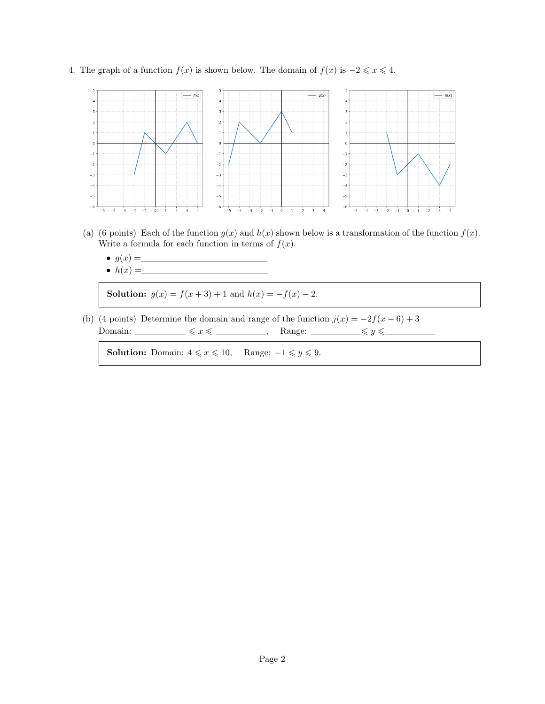4. The graph of a function  $f(x)$  is shown below. The domain of  $f(x)$  is  $-2 \le x \le 4$ .



- (a) (6 points) Each of the function  $g(x)$  and  $h(x)$  shown below is a transformation of the function  $f(x)$ . Write a formula for each function in terms of  $f(x)$ .
	- $g(x) =$
	- $h(x) =$

Solution:  $g(x) = f(x+3) + 1$  and  $h(x) = -f(x) - 2$ .

(b) (4 points) Determine the domain and range of the function  $j(x) = -2f(x-6) + 3$ Domain:  $\xi x \leq \underline{\qquad}$ , Range:  $\xi y \leq \underline{\qquad}$ 

**Solution:** Domain:  $4 \leq x \leq 10$ , Range:  $-1 \leq y \leq 9$ .